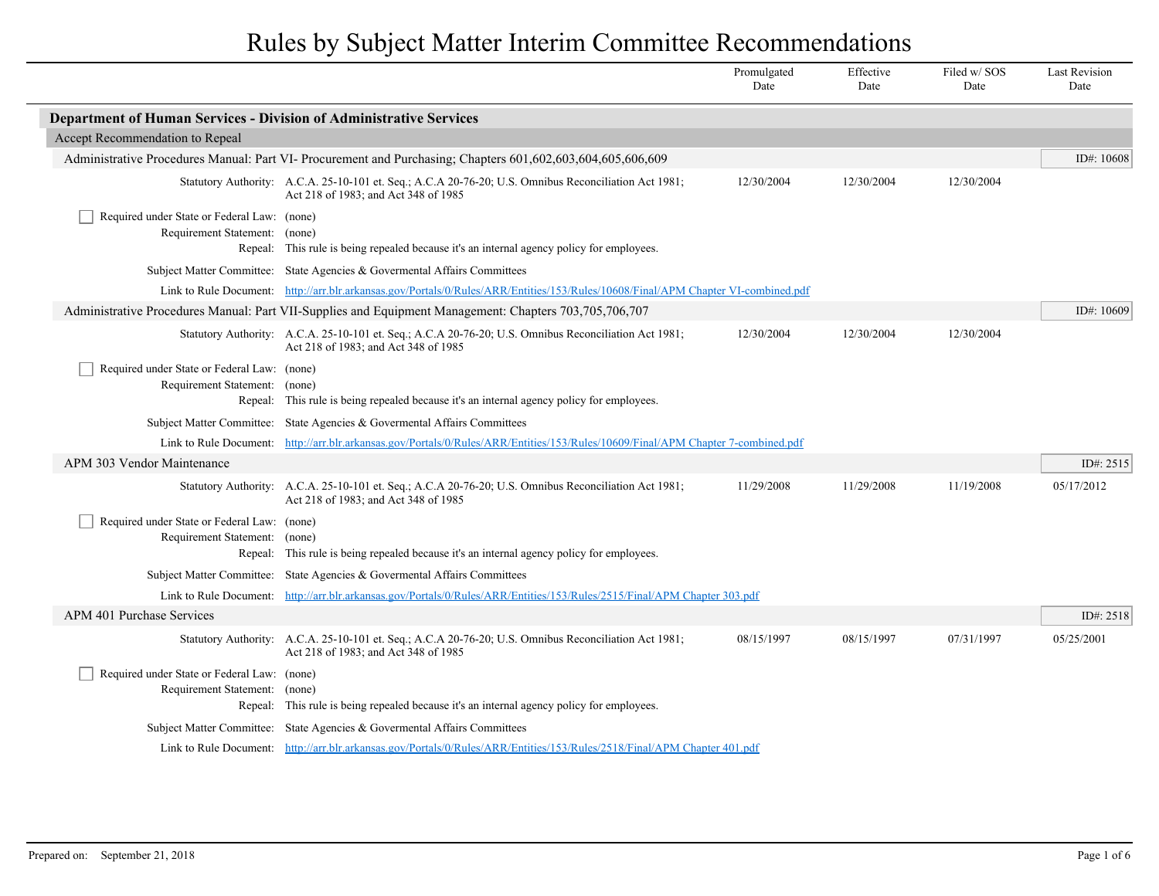|                                                                              |                                                                                                                                               | Promulgated<br>Date | Effective<br>Date | Filed w/SOS<br>Date | <b>Last Revision</b><br>Date |
|------------------------------------------------------------------------------|-----------------------------------------------------------------------------------------------------------------------------------------------|---------------------|-------------------|---------------------|------------------------------|
| <b>Department of Human Services - Division of Administrative Services</b>    |                                                                                                                                               |                     |                   |                     |                              |
| Accept Recommendation to Repeal                                              |                                                                                                                                               |                     |                   |                     |                              |
|                                                                              | Administrative Procedures Manual: Part VI- Procurement and Purchasing; Chapters 601,602,603,604,605,606,609                                   |                     |                   |                     | ID#: 10608                   |
|                                                                              | Statutory Authority: A.C.A. 25-10-101 et. Seq.; A.C.A 20-76-20; U.S. Omnibus Reconciliation Act 1981;<br>Act 218 of 1983; and Act 348 of 1985 | 12/30/2004          | 12/30/2004        | 12/30/2004          |                              |
| Required under State or Federal Law: (none)<br>Requirement Statement: (none) | Repeal: This rule is being repealed because it's an internal agency policy for employees.                                                     |                     |                   |                     |                              |
|                                                                              | Subject Matter Committee: State Agencies & Governental Affairs Committees                                                                     |                     |                   |                     |                              |
|                                                                              | Link to Rule Document: http://arr.blr.arkansas.gov/Portals/0/Rules/ARR/Entities/153/Rules/10608/Final/APM Chapter VI-combined.pdf             |                     |                   |                     |                              |
|                                                                              | Administrative Procedures Manual: Part VII-Supplies and Equipment Management: Chapters 703,705,706,707                                        |                     |                   |                     | ID#: 10609                   |
|                                                                              | Statutory Authority: A.C.A. 25-10-101 et. Seq.; A.C.A 20-76-20; U.S. Omnibus Reconciliation Act 1981;<br>Act 218 of 1983; and Act 348 of 1985 | 12/30/2004          | 12/30/2004        | 12/30/2004          |                              |
| Required under State or Federal Law: (none)<br>Requirement Statement: (none) | Repeal: This rule is being repealed because it's an internal agency policy for employees.                                                     |                     |                   |                     |                              |
|                                                                              | Subject Matter Committee: State Agencies & Governental Affairs Committees                                                                     |                     |                   |                     |                              |
|                                                                              | Link to Rule Document: http://arr.blr.arkansas.gov/Portals/0/Rules/ARR/Entities/153/Rules/10609/Final/APM Chapter 7-combined.pdf              |                     |                   |                     |                              |
| APM 303 Vendor Maintenance                                                   |                                                                                                                                               |                     |                   |                     | ID#: 2515                    |
|                                                                              | Statutory Authority: A.C.A. 25-10-101 et. Seq.; A.C.A 20-76-20; U.S. Omnibus Reconciliation Act 1981;<br>Act 218 of 1983; and Act 348 of 1985 | 11/29/2008          | 11/29/2008        | 11/19/2008          | 05/17/2012                   |
| Required under State or Federal Law: (none)<br>Requirement Statement:        | (none)<br>Repeal: This rule is being repealed because it's an internal agency policy for employees.                                           |                     |                   |                     |                              |
|                                                                              | Subject Matter Committee: State Agencies & Governental Affairs Committees                                                                     |                     |                   |                     |                              |
|                                                                              | Link to Rule Document: http://arr.blr.arkansas.gov/Portals/0/Rules/ARR/Entities/153/Rules/2515/Final/APM Chapter 303.pdf                      |                     |                   |                     |                              |
| <b>APM 401 Purchase Services</b>                                             |                                                                                                                                               |                     |                   |                     | ID#: 2518                    |
|                                                                              | Statutory Authority: A.C.A. 25-10-101 et. Seq.; A.C.A 20-76-20; U.S. Omnibus Reconciliation Act 1981;<br>Act 218 of 1983; and Act 348 of 1985 | 08/15/1997          | 08/15/1997        | 07/31/1997          | 05/25/2001                   |
| Required under State or Federal Law: (none)<br>Requirement Statement:        | (none)<br>Repeal: This rule is being repealed because it's an internal agency policy for employees.                                           |                     |                   |                     |                              |
|                                                                              | Subject Matter Committee: State Agencies & Governental Affairs Committees                                                                     |                     |                   |                     |                              |
|                                                                              | Link to Rule Document: http://arr.blr.arkansas.gov/Portals/0/Rules/ARR/Entities/153/Rules/2518/Final/APM Chapter 401.pdf                      |                     |                   |                     |                              |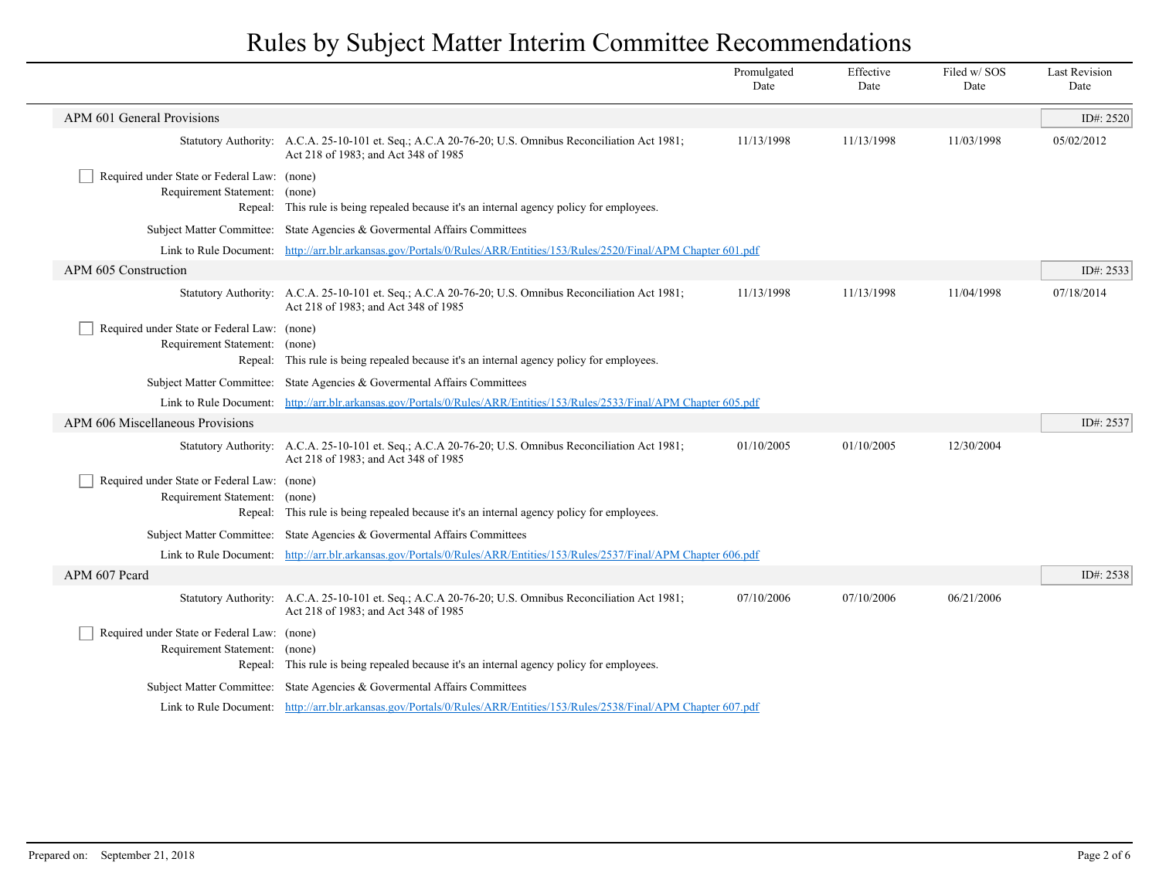|                                                                              |                                                                                                                                               | Promulgated<br>Date | Effective<br>Date | Filed w/SOS<br>Date | <b>Last Revision</b><br>Date |
|------------------------------------------------------------------------------|-----------------------------------------------------------------------------------------------------------------------------------------------|---------------------|-------------------|---------------------|------------------------------|
| APM 601 General Provisions                                                   |                                                                                                                                               |                     |                   |                     | ID#: 2520                    |
|                                                                              | Statutory Authority: A.C.A. 25-10-101 et. Seq.; A.C.A 20-76-20; U.S. Omnibus Reconciliation Act 1981;<br>Act 218 of 1983; and Act 348 of 1985 | 11/13/1998          | 11/13/1998        | 11/03/1998          | 05/02/2012                   |
| Required under State or Federal Law: (none)<br>Requirement Statement: (none) | Repeal: This rule is being repealed because it's an internal agency policy for employees.                                                     |                     |                   |                     |                              |
|                                                                              | Subject Matter Committee: State Agencies & Governental Affairs Committees                                                                     |                     |                   |                     |                              |
|                                                                              | Link to Rule Document: http://arr.blr.arkansas.gov/Portals/0/Rules/ARR/Entities/153/Rules/2520/Final/APM Chapter 601.pdf                      |                     |                   |                     |                              |
| APM 605 Construction                                                         |                                                                                                                                               |                     |                   |                     | ID#: 2533                    |
|                                                                              | Statutory Authority: A.C.A. 25-10-101 et. Seq.; A.C.A 20-76-20; U.S. Omnibus Reconciliation Act 1981;<br>Act 218 of 1983; and Act 348 of 1985 | 11/13/1998          | 11/13/1998        | 11/04/1998          | 07/18/2014                   |
| Required under State or Federal Law: (none)<br>Requirement Statement:        | (none)<br>Repeal: This rule is being repealed because it's an internal agency policy for employees.                                           |                     |                   |                     |                              |
|                                                                              | Subject Matter Committee: State Agencies & Governmental Affairs Committees                                                                    |                     |                   |                     |                              |
|                                                                              | Link to Rule Document: http://arr.blr.arkansas.gov/Portals/0/Rules/ARR/Entities/153/Rules/2533/Final/APM Chapter 605.pdf                      |                     |                   |                     |                              |
| APM 606 Miscellaneous Provisions                                             |                                                                                                                                               |                     |                   |                     | ID#: 2537                    |
|                                                                              | Statutory Authority: A.C.A. 25-10-101 et. Seq.; A.C.A 20-76-20; U.S. Omnibus Reconciliation Act 1981;<br>Act 218 of 1983; and Act 348 of 1985 | 01/10/2005          | 01/10/2005        | 12/30/2004          |                              |
| Required under State or Federal Law: (none)<br>Requirement Statement: (none) | Repeal: This rule is being repealed because it's an internal agency policy for employees.                                                     |                     |                   |                     |                              |
|                                                                              | Subject Matter Committee: State Agencies & Governental Affairs Committees                                                                     |                     |                   |                     |                              |
|                                                                              | Link to Rule Document: http://arr.blr.arkansas.gov/Portals/0/Rules/ARR/Entities/153/Rules/2537/Final/APM Chapter 606.pdf                      |                     |                   |                     |                              |
| APM 607 Peard                                                                |                                                                                                                                               |                     |                   |                     | ID#: 2538                    |
|                                                                              | Statutory Authority: A.C.A. 25-10-101 et. Seq.; A.C.A 20-76-20; U.S. Omnibus Reconciliation Act 1981;<br>Act 218 of 1983; and Act 348 of 1985 | 07/10/2006          | 07/10/2006        | 06/21/2006          |                              |
| Required under State or Federal Law: (none)<br>Requirement Statement: (none) | Repeal: This rule is being repealed because it's an internal agency policy for employees.                                                     |                     |                   |                     |                              |
|                                                                              | Subject Matter Committee: State Agencies & Governmental Affairs Committees                                                                    |                     |                   |                     |                              |
|                                                                              | Link to Rule Document: http://arr.blr.arkansas.gov/Portals/0/Rules/ARR/Entities/153/Rules/2538/Final/APM Chapter 607.pdf                      |                     |                   |                     |                              |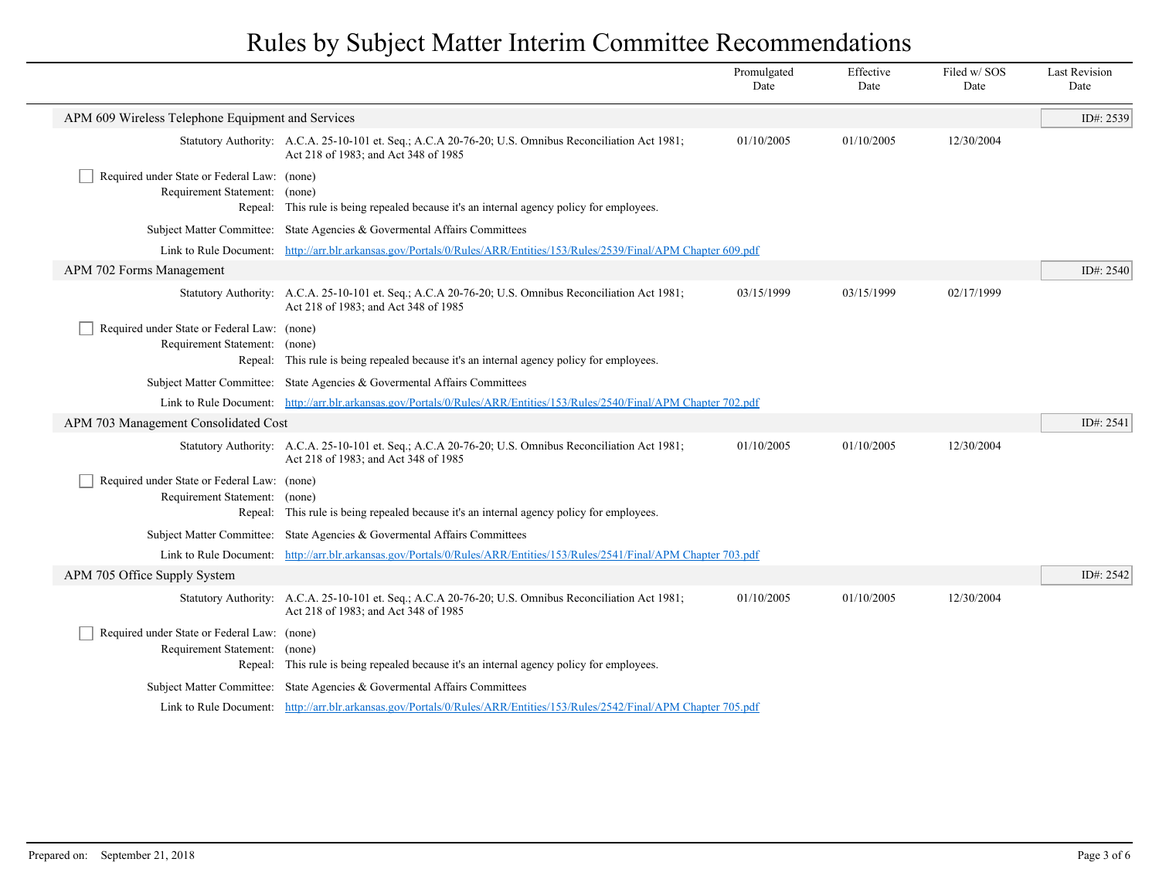|                                                                              |                                                                                                                                               | Promulgated<br>Date | Effective<br>Date | Filed w/SOS<br>Date | <b>Last Revision</b><br>Date |
|------------------------------------------------------------------------------|-----------------------------------------------------------------------------------------------------------------------------------------------|---------------------|-------------------|---------------------|------------------------------|
| APM 609 Wireless Telephone Equipment and Services                            |                                                                                                                                               |                     |                   |                     | ID#: 2539                    |
|                                                                              | Statutory Authority: A.C.A. 25-10-101 et. Seq.; A.C.A 20-76-20; U.S. Omnibus Reconciliation Act 1981;<br>Act 218 of 1983; and Act 348 of 1985 | 01/10/2005          | 01/10/2005        | 12/30/2004          |                              |
| Required under State or Federal Law: (none)<br>Requirement Statement: (none) | Repeal: This rule is being repealed because it's an internal agency policy for employees.                                                     |                     |                   |                     |                              |
|                                                                              | Subject Matter Committee: State Agencies & Governental Affairs Committees                                                                     |                     |                   |                     |                              |
|                                                                              | Link to Rule Document: http://arr.blr.arkansas.gov/Portals/0/Rules/ARR/Entities/153/Rules/2539/Final/APM Chapter 609.pdf                      |                     |                   |                     |                              |
| APM 702 Forms Management                                                     |                                                                                                                                               |                     |                   |                     | ID#: 2540                    |
|                                                                              | Statutory Authority: A.C.A. 25-10-101 et. Seq.; A.C.A 20-76-20; U.S. Omnibus Reconciliation Act 1981;<br>Act 218 of 1983; and Act 348 of 1985 | 03/15/1999          | 03/15/1999        | 02/17/1999          |                              |
| Required under State or Federal Law: (none)<br>Requirement Statement: (none) | Repeal: This rule is being repealed because it's an internal agency policy for employees.                                                     |                     |                   |                     |                              |
|                                                                              | Subject Matter Committee: State Agencies & Governmental Affairs Committees                                                                    |                     |                   |                     |                              |
|                                                                              | Link to Rule Document: http://arr.blr.arkansas.gov/Portals/0/Rules/ARR/Entities/153/Rules/2540/Final/APM Chapter 702.pdf                      |                     |                   |                     |                              |
| APM 703 Management Consolidated Cost                                         |                                                                                                                                               |                     |                   |                     | ID#: 2541                    |
|                                                                              | Statutory Authority: A.C.A. 25-10-101 et. Seq.; A.C.A 20-76-20; U.S. Omnibus Reconciliation Act 1981;<br>Act 218 of 1983; and Act 348 of 1985 | 01/10/2005          | 01/10/2005        | 12/30/2004          |                              |
| Required under State or Federal Law: (none)<br>Requirement Statement: (none) | Repeal: This rule is being repealed because it's an internal agency policy for employees.                                                     |                     |                   |                     |                              |
|                                                                              | Subject Matter Committee: State Agencies & Governmental Affairs Committees                                                                    |                     |                   |                     |                              |
|                                                                              | Link to Rule Document: http://arr.blr.arkansas.gov/Portals/0/Rules/ARR/Entities/153/Rules/2541/Final/APM Chapter 703.pdf                      |                     |                   |                     |                              |
| APM 705 Office Supply System                                                 |                                                                                                                                               |                     |                   |                     | ID#: 2542                    |
|                                                                              | Statutory Authority: A.C.A. 25-10-101 et. Seq.; A.C.A 20-76-20; U.S. Omnibus Reconciliation Act 1981;<br>Act 218 of 1983; and Act 348 of 1985 | 01/10/2005          | 01/10/2005        | 12/30/2004          |                              |
| Required under State or Federal Law: (none)<br>Requirement Statement:        | (none)<br>Repeal: This rule is being repealed because it's an internal agency policy for employees.                                           |                     |                   |                     |                              |
|                                                                              | Subject Matter Committee: State Agencies & Governental Affairs Committees                                                                     |                     |                   |                     |                              |
|                                                                              | Link to Rule Document: http://arr.blr.arkansas.gov/Portals/0/Rules/ARR/Entities/153/Rules/2542/Final/APM Chapter 705.pdf                      |                     |                   |                     |                              |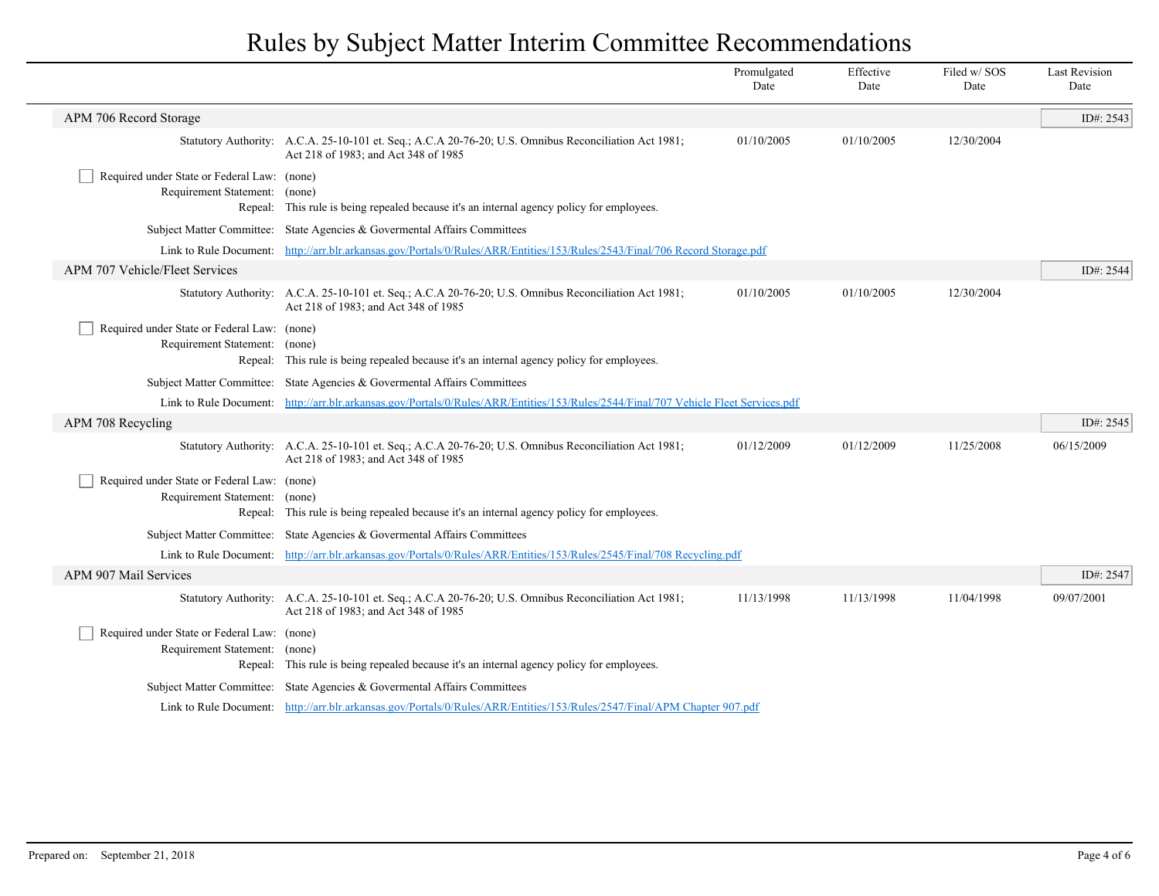|                                                                              |                                                                                                                                               | Promulgated<br>Date | Effective<br>Date | Filed w/SOS<br>Date | <b>Last Revision</b><br>Date |
|------------------------------------------------------------------------------|-----------------------------------------------------------------------------------------------------------------------------------------------|---------------------|-------------------|---------------------|------------------------------|
| APM 706 Record Storage                                                       |                                                                                                                                               |                     |                   |                     | ID#: 2543                    |
|                                                                              | Statutory Authority: A.C.A. 25-10-101 et. Seq.; A.C.A 20-76-20; U.S. Omnibus Reconciliation Act 1981;<br>Act 218 of 1983; and Act 348 of 1985 | 01/10/2005          | 01/10/2005        | 12/30/2004          |                              |
| Required under State or Federal Law: (none)<br>Requirement Statement: (none) | Repeal: This rule is being repealed because it's an internal agency policy for employees.                                                     |                     |                   |                     |                              |
|                                                                              | Subject Matter Committee: State Agencies & Governental Affairs Committees                                                                     |                     |                   |                     |                              |
|                                                                              | Link to Rule Document: http://arr.blr.arkansas.gov/Portals/0/Rules/ARR/Entities/153/Rules/2543/Final/706 Record Storage.pdf                   |                     |                   |                     |                              |
| APM 707 Vehicle/Fleet Services                                               |                                                                                                                                               |                     |                   |                     | ID#: 2544                    |
|                                                                              | Statutory Authority: A.C.A. 25-10-101 et. Seq.; A.C.A 20-76-20; U.S. Omnibus Reconciliation Act 1981;<br>Act 218 of 1983; and Act 348 of 1985 | 01/10/2005          | 01/10/2005        | 12/30/2004          |                              |
| Required under State or Federal Law: (none)<br>Requirement Statement: (none) | Repeal: This rule is being repealed because it's an internal agency policy for employees.                                                     |                     |                   |                     |                              |
|                                                                              | Subject Matter Committee: State Agencies & Governental Affairs Committees                                                                     |                     |                   |                     |                              |
|                                                                              | Link to Rule Document: http://arr.blr.arkansas.gov/Portals/0/Rules/ARR/Entities/153/Rules/2544/Final/707 Vehicle Fleet Services.pdf           |                     |                   |                     |                              |
| APM 708 Recycling                                                            |                                                                                                                                               |                     |                   |                     | ID#: 2545                    |
|                                                                              | Statutory Authority: A.C.A. 25-10-101 et. Seq.; A.C.A 20-76-20; U.S. Omnibus Reconciliation Act 1981;<br>Act 218 of 1983; and Act 348 of 1985 | 01/12/2009          | 01/12/2009        | 11/25/2008          | 06/15/2009                   |
| Required under State or Federal Law: (none)<br>Requirement Statement: (none) | Repeal: This rule is being repealed because it's an internal agency policy for employees.                                                     |                     |                   |                     |                              |
|                                                                              | Subject Matter Committee: State Agencies & Governental Affairs Committees                                                                     |                     |                   |                     |                              |
|                                                                              | Link to Rule Document: http://arr.blr.arkansas.gov/Portals/0/Rules/ARR/Entities/153/Rules/2545/Final/708 Recycling.pdf                        |                     |                   |                     |                              |
| APM 907 Mail Services                                                        |                                                                                                                                               |                     |                   |                     | ID#: 2547                    |
|                                                                              | Statutory Authority: A.C.A. 25-10-101 et. Seq.; A.C.A 20-76-20; U.S. Omnibus Reconciliation Act 1981;<br>Act 218 of 1983; and Act 348 of 1985 | 11/13/1998          | 11/13/1998        | 11/04/1998          | 09/07/2001                   |
| Required under State or Federal Law: (none)<br>Requirement Statement: (none) | Repeal: This rule is being repealed because it's an internal agency policy for employees.                                                     |                     |                   |                     |                              |
|                                                                              | Subject Matter Committee: State Agencies & Governental Affairs Committees                                                                     |                     |                   |                     |                              |
|                                                                              | Link to Rule Document: http://arr.blr.arkansas.gov/Portals/0/Rules/ARR/Entities/153/Rules/2547/Final/APM Chapter 907.pdf                      |                     |                   |                     |                              |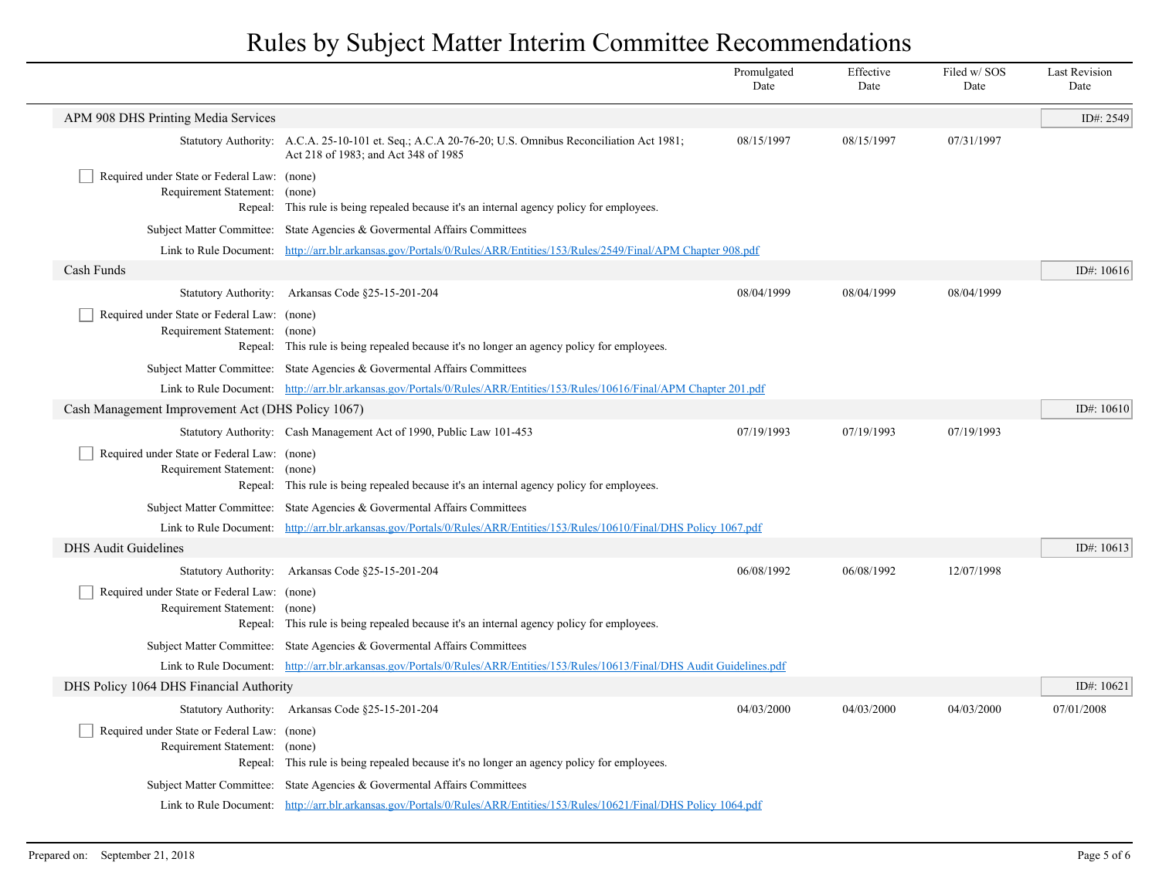|                                                                              |                                                                                                                                               | Promulgated<br>Date | Effective<br>Date | Filed w/SOS<br>Date | <b>Last Revision</b><br>Date |
|------------------------------------------------------------------------------|-----------------------------------------------------------------------------------------------------------------------------------------------|---------------------|-------------------|---------------------|------------------------------|
| APM 908 DHS Printing Media Services                                          |                                                                                                                                               |                     |                   |                     | ID#: 2549                    |
|                                                                              | Statutory Authority: A.C.A. 25-10-101 et. Seq.; A.C.A 20-76-20; U.S. Omnibus Reconciliation Act 1981;<br>Act 218 of 1983; and Act 348 of 1985 | 08/15/1997          | 08/15/1997        | 07/31/1997          |                              |
| Required under State or Federal Law: (none)                                  |                                                                                                                                               |                     |                   |                     |                              |
| Requirement Statement: (none)                                                | Repeal: This rule is being repealed because it's an internal agency policy for employees.                                                     |                     |                   |                     |                              |
|                                                                              | Subject Matter Committee: State Agencies & Governental Affairs Committees                                                                     |                     |                   |                     |                              |
|                                                                              | Link to Rule Document: http://arr.blr.arkansas.gov/Portals/0/Rules/ARR/Entities/153/Rules/2549/Final/APM Chapter 908.pdf                      |                     |                   |                     |                              |
| Cash Funds                                                                   |                                                                                                                                               |                     |                   |                     | ID#: 10616                   |
| <b>Statutory Authority:</b>                                                  | Arkansas Code §25-15-201-204                                                                                                                  | 08/04/1999          | 08/04/1999        | 08/04/1999          |                              |
| Required under State or Federal Law: (none)<br>Requirement Statement:        | (none)<br>Repeal: This rule is being repealed because it's no longer an agency policy for employees.                                          |                     |                   |                     |                              |
|                                                                              | Subject Matter Committee: State Agencies & Governental Affairs Committees                                                                     |                     |                   |                     |                              |
|                                                                              | Link to Rule Document: http://arr.blr.arkansas.gov/Portals/0/Rules/ARR/Entities/153/Rules/10616/Final/APM Chapter 201.pdf                     |                     |                   |                     |                              |
| Cash Management Improvement Act (DHS Policy 1067)                            |                                                                                                                                               |                     |                   |                     | ID#: $10610$                 |
|                                                                              | Statutory Authority: Cash Management Act of 1990, Public Law 101-453                                                                          | 07/19/1993          | 07/19/1993        | 07/19/1993          |                              |
| Required under State or Federal Law: (none)<br>Requirement Statement:        | (none)<br>Repeal: This rule is being repealed because it's an internal agency policy for employees.                                           |                     |                   |                     |                              |
|                                                                              | Subject Matter Committee: State Agencies & Governental Affairs Committees                                                                     |                     |                   |                     |                              |
|                                                                              | Link to Rule Document: http://arr.blr.arkansas.gov/Portals/0/Rules/ARR/Entities/153/Rules/10610/Final/DHS Policy 1067.pdf                     |                     |                   |                     |                              |
| <b>DHS Audit Guidelines</b>                                                  |                                                                                                                                               |                     |                   |                     | ID#: 10613                   |
| <b>Statutory Authority:</b>                                                  | Arkansas Code §25-15-201-204                                                                                                                  | 06/08/1992          | 06/08/1992        | 12/07/1998          |                              |
| Required under State or Federal Law: (none)<br>Requirement Statement: (none) | Repeal: This rule is being repealed because it's an internal agency policy for employees.                                                     |                     |                   |                     |                              |
|                                                                              | Subject Matter Committee: State Agencies & Governental Affairs Committees                                                                     |                     |                   |                     |                              |
|                                                                              | Link to Rule Document: http://arr.blr.arkansas.gov/Portals/0/Rules/ARR/Entities/153/Rules/10613/Final/DHS Audit Guidelines.pdf                |                     |                   |                     |                              |
| DHS Policy 1064 DHS Financial Authority                                      |                                                                                                                                               |                     |                   |                     | ID#: $10621$                 |
|                                                                              | Statutory Authority: Arkansas Code §25-15-201-204                                                                                             | 04/03/2000          | 04/03/2000        | 04/03/2000          | 07/01/2008                   |
| Required under State or Federal Law: (none)<br>Requirement Statement: (none) | Repeal: This rule is being repealed because it's no longer an agency policy for employees.                                                    |                     |                   |                     |                              |
|                                                                              | Subject Matter Committee: State Agencies & Governental Affairs Committees                                                                     |                     |                   |                     |                              |
|                                                                              | Link to Rule Document: http://arr.blr.arkansas.gov/Portals/0/Rules/ARR/Entities/153/Rules/10621/Final/DHS Policy 1064.pdf                     |                     |                   |                     |                              |